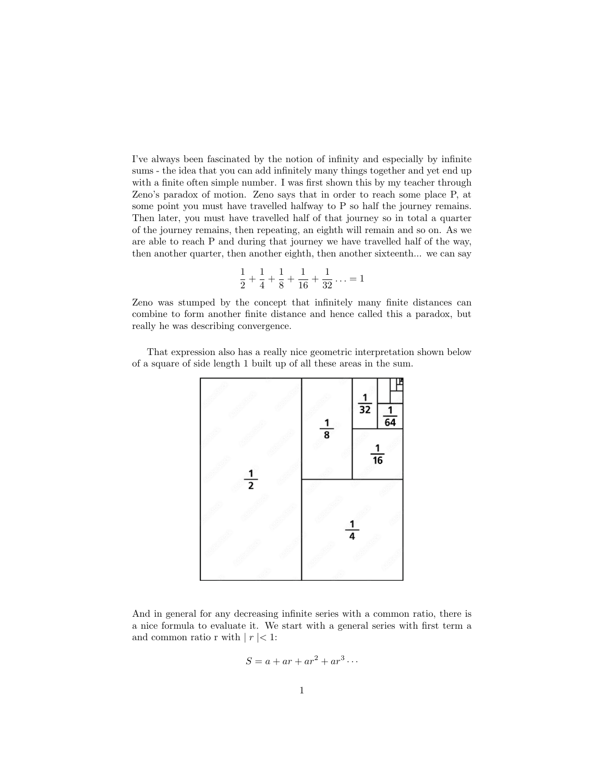I've always been fascinated by the notion of infinity and especially by infinite sums - the idea that you can add infinitely many things together and yet end up with a finite often simple number. I was first shown this by my teacher through Zeno's paradox of motion. Zeno says that in order to reach some place P, at some point you must have travelled halfway to P so half the journey remains. Then later, you must have travelled half of that journey so in total a quarter of the journey remains, then repeating, an eighth will remain and so on. As we are able to reach P and during that journey we have travelled half of the way, then another quarter, then another eighth, then another sixteenth... we can say

$$
\frac{1}{2} + \frac{1}{4} + \frac{1}{8} + \frac{1}{16} + \frac{1}{32} \ldots = 1
$$

Zeno was stumped by the concept that infinitely many finite distances can combine to form another finite distance and hence called this a paradox, but really he was describing convergence.

That expression also has a really nice geometric interpretation shown below of a square of side length 1 built up of all these areas in the sum.



And in general for any decreasing infinite series with a common ratio, there is a nice formula to evaluate it. We start with a general series with first term a and common ratio r with  $|r| < 1$ :

$$
S = a + ar + ar^2 + ar^3 \cdots
$$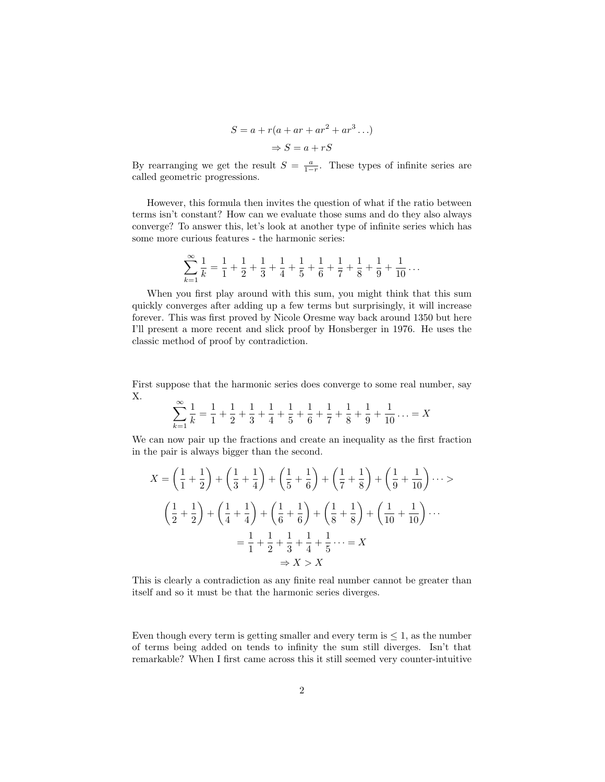$$
S = a + r(a + ar + ar2 + ar3...)
$$

$$
\Rightarrow S = a + rS
$$

By rearranging we get the result  $S = \frac{a}{1-r}$ . These types of infinite series are called geometric progressions.

However, this formula then invites the question of what if the ratio between terms isn't constant? How can we evaluate those sums and do they also always converge? To answer this, let's look at another type of infinite series which has some more curious features - the harmonic series:

$$
\sum_{k=1}^{\infty} \frac{1}{k} = \frac{1}{1} + \frac{1}{2} + \frac{1}{3} + \frac{1}{4} + \frac{1}{5} + \frac{1}{6} + \frac{1}{7} + \frac{1}{8} + \frac{1}{9} + \frac{1}{10} + \dots
$$

When you first play around with this sum, you might think that this sum quickly converges after adding up a few terms but surprisingly, it will increase forever. This was first proved by Nicole Oresme way back around 1350 but here I'll present a more recent and slick proof by Honsberger in 1976. He uses the classic method of proof by contradiction.

First suppose that the harmonic series does converge to some real number, say X.

$$
\sum_{k=1}^{\infty} \frac{1}{k} = \frac{1}{1} + \frac{1}{2} + \frac{1}{3} + \frac{1}{4} + \frac{1}{5} + \frac{1}{6} + \frac{1}{7} + \frac{1}{8} + \frac{1}{9} + \frac{1}{10} \dots = X
$$

We can now pair up the fractions and create an inequality as the first fraction in the pair is always bigger than the second.

$$
X = \left(\frac{1}{1} + \frac{1}{2}\right) + \left(\frac{1}{3} + \frac{1}{4}\right) + \left(\frac{1}{5} + \frac{1}{6}\right) + \left(\frac{1}{7} + \frac{1}{8}\right) + \left(\frac{1}{9} + \frac{1}{10}\right) \dots >
$$
  

$$
\left(\frac{1}{2} + \frac{1}{2}\right) + \left(\frac{1}{4} + \frac{1}{4}\right) + \left(\frac{1}{6} + \frac{1}{6}\right) + \left(\frac{1}{8} + \frac{1}{8}\right) + \left(\frac{1}{10} + \frac{1}{10}\right) \dots
$$
  

$$
= \frac{1}{1} + \frac{1}{2} + \frac{1}{3} + \frac{1}{4} + \frac{1}{5} \dots = X
$$
  

$$
\Rightarrow X > X
$$

This is clearly a contradiction as any finite real number cannot be greater than itself and so it must be that the harmonic series diverges.

Even though every term is getting smaller and every term is  $\leq 1$ , as the number of terms being added on tends to infinity the sum still diverges. Isn't that remarkable? When I first came across this it still seemed very counter-intuitive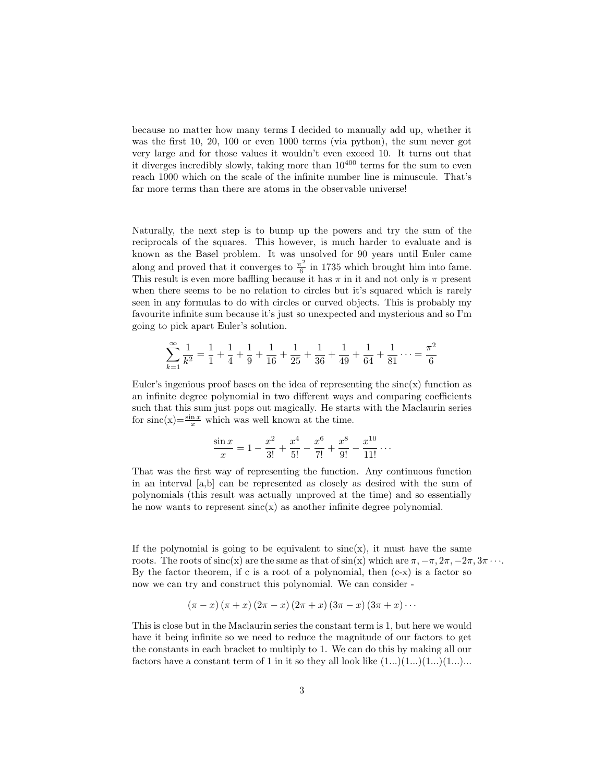because no matter how many terms I decided to manually add up, whether it was the first 10, 20, 100 or even 1000 terms (via python), the sum never got very large and for those values it wouldn't even exceed 10. It turns out that it diverges incredibly slowly, taking more than  $10^{400}$  terms for the sum to even reach 1000 which on the scale of the infinite number line is minuscule. That's far more terms than there are atoms in the observable universe!

Naturally, the next step is to bump up the powers and try the sum of the reciprocals of the squares. This however, is much harder to evaluate and is known as the Basel problem. It was unsolved for 90 years until Euler came along and proved that it converges to  $\frac{\pi^2}{6}$  $\frac{6}{6}$  in 1735 which brought him into fame. This result is even more baffling because it has  $\pi$  in it and not only is  $\pi$  present when there seems to be no relation to circles but it's squared which is rarely seen in any formulas to do with circles or curved objects. This is probably my favourite infinite sum because it's just so unexpected and mysterious and so I'm going to pick apart Euler's solution.

$$
\sum_{k=1}^{\infty} \frac{1}{k^2} = \frac{1}{1} + \frac{1}{4} + \frac{1}{9} + \frac{1}{16} + \frac{1}{25} + \frac{1}{36} + \frac{1}{49} + \frac{1}{64} + \frac{1}{81} + \dots = \frac{\pi^2}{6}
$$

Euler's ingenious proof bases on the idea of representing the  $sinc(x)$  function as an infinite degree polynomial in two different ways and comparing coefficients such that this sum just pops out magically. He starts with the Maclaurin series for  $\text{sinc}(x) = \frac{\sin x}{x}$  which was well known at the time.

$$
\frac{\sin x}{x} = 1 - \frac{x^2}{3!} + \frac{x^4}{5!} - \frac{x^6}{7!} + \frac{x^8}{9!} - \frac{x^{10}}{11!} \cdots
$$

That was the first way of representing the function. Any continuous function in an interval [a,b] can be represented as closely as desired with the sum of polynomials (this result was actually unproved at the time) and so essentially he now wants to represent  $sinc(x)$  as another infinite degree polynomial.

If the polynomial is going to be equivalent to  $sinc(x)$ , it must have the same roots. The roots of sinc(x) are the same as that of  $\sin(x)$  which are  $\pi, -\pi, 2\pi, -2\pi, 3\pi \cdots$ . By the factor theorem, if c is a root of a polynomial, then  $(c-x)$  is a factor so now we can try and construct this polynomial. We can consider -

$$
(\pi - x)(\pi + x)(2\pi - x)(2\pi + x)(3\pi - x)(3\pi + x)\cdots
$$

This is close but in the Maclaurin series the constant term is 1, but here we would have it being infinite so we need to reduce the magnitude of our factors to get the constants in each bracket to multiply to 1. We can do this by making all our factors have a constant term of 1 in it so they all look like  $(1...)(1...)(1...)(1...)$ ...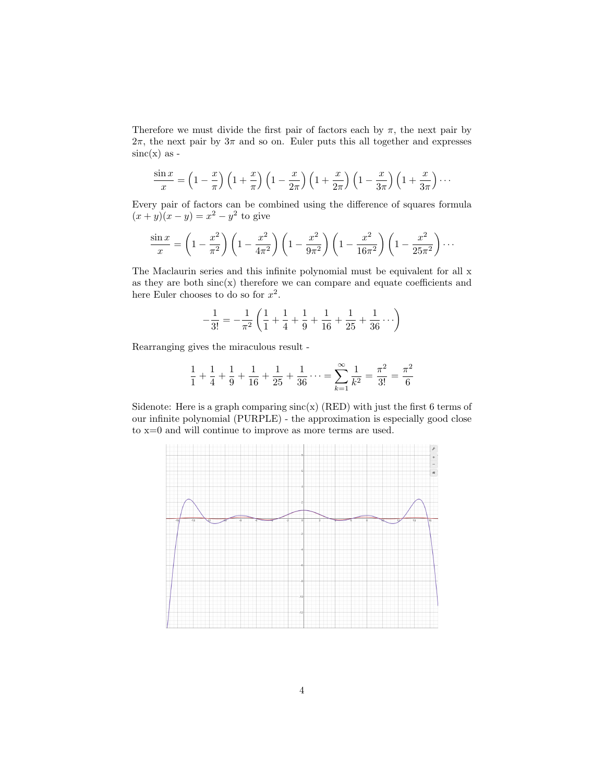Therefore we must divide the first pair of factors each by  $\pi$ , the next pair by  $2\pi$ , the next pair by  $3\pi$  and so on. Euler puts this all together and expresses  $sinc(x)$  as -

$$
\frac{\sin x}{x} = \left(1 - \frac{x}{\pi}\right)\left(1 + \frac{x}{\pi}\right)\left(1 - \frac{x}{2\pi}\right)\left(1 + \frac{x}{2\pi}\right)\left(1 - \frac{x}{3\pi}\right)\left(1 + \frac{x}{3\pi}\right)\cdots
$$

Every pair of factors can be combined using the difference of squares formula  $(x + y)(x - y) = x<sup>2</sup> - y<sup>2</sup>$  to give

$$
\frac{\sin x}{x} = \left(1 - \frac{x^2}{\pi^2}\right) \left(1 - \frac{x^2}{4\pi^2}\right) \left(1 - \frac{x^2}{9\pi^2}\right) \left(1 - \frac{x^2}{16\pi^2}\right) \left(1 - \frac{x^2}{25\pi^2}\right) \cdots
$$

The Maclaurin series and this infinite polynomial must be equivalent for all x as they are both  $sinc(x)$  therefore we can compare and equate coefficients and here Euler chooses to do so for  $x^2$ .

$$
-\frac{1}{3!} = -\frac{1}{\pi^2} \left( \frac{1}{1} + \frac{1}{4} + \frac{1}{9} + \frac{1}{16} + \frac{1}{25} + \frac{1}{36} \cdots \right)
$$

Rearranging gives the miraculous result -

$$
\frac{1}{1} + \frac{1}{4} + \frac{1}{9} + \frac{1}{16} + \frac{1}{25} + \frac{1}{36} \cdots = \sum_{k=1}^{\infty} \frac{1}{k^2} = \frac{\pi^2}{3!} = \frac{\pi^2}{6}
$$

Sidenote: Here is a graph comparing  $sinc(x)$  (RED) with just the first 6 terms of our infinite polynomial (PURPLE) - the approximation is especially good close to x=0 and will continue to improve as more terms are used.

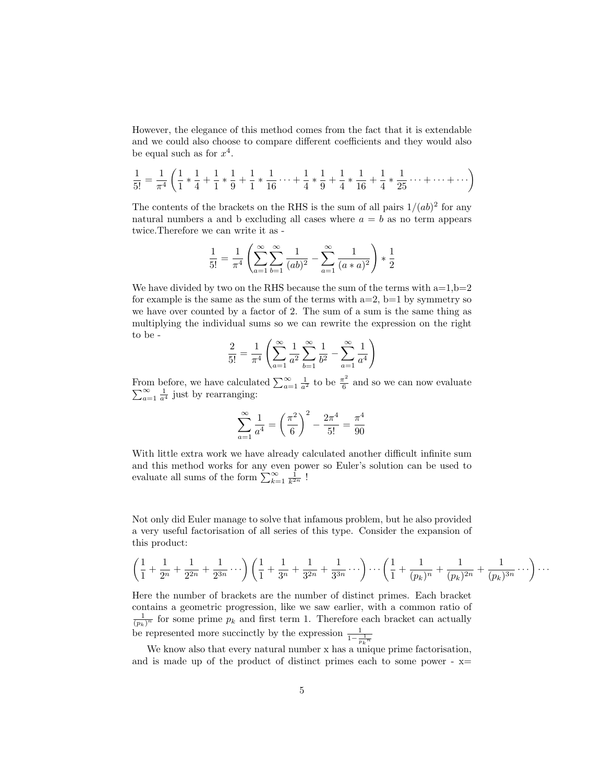However, the elegance of this method comes from the fact that it is extendable and we could also choose to compare different coefficients and they would also be equal such as for  $x^4$ .

$$
\frac{1}{5!} = \frac{1}{\pi^4} \left( \frac{1}{1} * \frac{1}{4} + \frac{1}{1} * \frac{1}{9} + \frac{1}{1} * \frac{1}{16} \cdots + \frac{1}{4} * \frac{1}{9} + \frac{1}{4} * \frac{1}{16} + \frac{1}{4} * \frac{1}{25} \cdots + \cdots + \cdots \right)
$$

The contents of the brackets on the RHS is the sum of all pairs  $1/(ab)^2$  for any natural numbers a and b excluding all cases where  $a = b$  as no term appears twice.Therefore we can write it as -

$$
\frac{1}{5!} = \frac{1}{\pi^4} \left( \sum_{a=1}^{\infty} \sum_{b=1}^{\infty} \frac{1}{(ab)^2} - \sum_{a=1}^{\infty} \frac{1}{(a*a)^2} \right) * \frac{1}{2}
$$

We have divided by two on the RHS because the sum of the terms with  $a=1,b=2$ for example is the same as the sum of the terms with  $a=2$ ,  $b=1$  by symmetry so we have over counted by a factor of 2. The sum of a sum is the same thing as multiplying the individual sums so we can rewrite the expression on the right to be -

$$
\frac{2}{5!} = \frac{1}{\pi^4} \left( \sum_{a=1}^{\infty} \frac{1}{a^2} \sum_{b=1}^{\infty} \frac{1}{b^2} - \sum_{a=1}^{\infty} \frac{1}{a^4} \right)
$$

From before, we have calculated  $\sum_{a=1}^{\infty} \frac{1}{a^2}$  to be  $\frac{\pi^2}{6}$  $\frac{\pi^2}{6}$  and so we can now evaluate  $\sum_{a=1}^{\infty}$  $\sum_{a=1}^{\infty} \frac{1}{a^4}$  just by rearranging:

$$
\sum_{a=1}^{\infty} \frac{1}{a^4} = \left(\frac{\pi^2}{6}\right)^2 - \frac{2\pi^4}{5!} = \frac{\pi^4}{90}
$$

With little extra work we have already calculated another difficult infinite sum and this method works for any even power so Euler's solution can be used to evaluate all sums of the form  $\sum_{k=1}^{\infty} \frac{1}{k^{2n}}$ !

Not only did Euler manage to solve that infamous problem, but he also provided a very useful factorisation of all series of this type. Consider the expansion of this product:

$$
\left(\frac{1}{1} + \frac{1}{2^n} + \frac{1}{2^{2n}} + \frac{1}{2^{3n}} + \cdots\right)\left(\frac{1}{1} + \frac{1}{3^n} + \frac{1}{3^{2n}} + \frac{1}{3^{3n}} + \cdots\right) \cdots \left(\frac{1}{1} + \frac{1}{(p_k)^n} + \frac{1}{(p_k)^{2n}} + \frac{1}{(p_k)^{3n}} + \cdots\right) \cdots
$$

Here the number of brackets are the number of distinct primes. Each bracket contains a geometric progression, like we saw earlier, with a common ratio of  $\frac{1}{(p_k)^n}$  for some prime  $p_k$  and first term 1. Therefore each bracket can actually be represented more succinctly by the expression  $\frac{1}{1-\frac{1}{p_k n}}$ 

We know also that every natural number x has a unique prime factorisation, and is made up of the product of distinct primes each to some power -  $x=$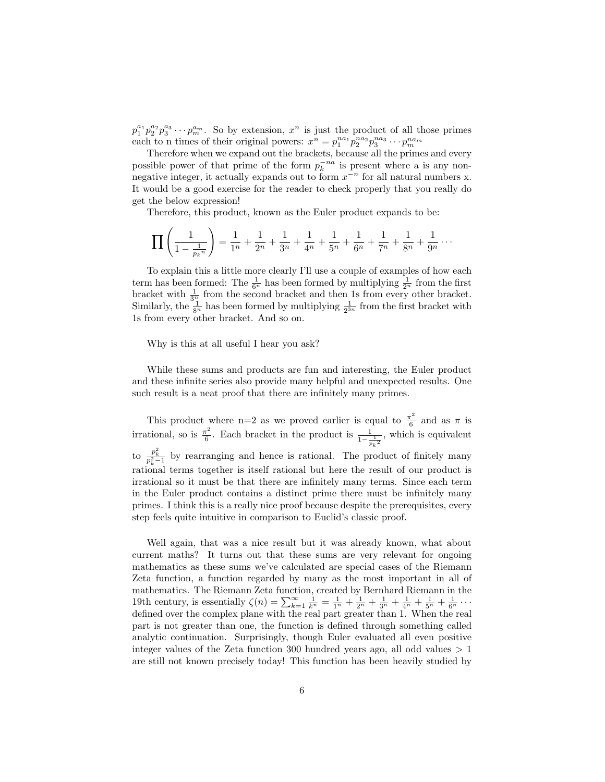$p_1^{a_1} p_2^{a_2} p_3^{a_3} \cdots p_m^{a_m}$ . So by extension,  $x^n$  is just the product of all those primes each to n times of their original powers:  $x^n = p_1^{na_1} p_2^{na_2} p_3^{na_3} \cdots p_m^{na_m}$ 

Therefore when we expand out the brackets, because all the primes and every possible power of that prime of the form  $p_k^{-na}$  is present where a is any nonnegative integer, it actually expands out to form  $x^{-n}$  for all natural numbers x. It would be a good exercise for the reader to check properly that you really do get the below expression!

Therefore, this product, known as the Euler product expands to be:

$$
\prod_{n=1}^{\infty} \left( \frac{1}{1 - \frac{1}{p_k n}} \right) = \frac{1}{1^n} + \frac{1}{2^n} + \frac{1}{3^n} + \frac{1}{4^n} + \frac{1}{5^n} + \frac{1}{6^n} + \frac{1}{7^n} + \frac{1}{8^n} + \frac{1}{9^n} + \cdots
$$

To explain this a little more clearly I'll use a couple of examples of how each term has been formed: The  $\frac{1}{6^n}$  has been formed by multiplying  $\frac{1}{2^n}$  from the first bracket with  $\frac{1}{3^n_1}$  from the second bracket and then 1s from every other bracket. Similarly, the  $\frac{1}{8^n}$  has been formed by multiplying  $\frac{1}{2^{3n}}$  from the first bracket with 1s from every other bracket. And so on.

Why is this at all useful I hear you ask?

While these sums and products are fun and interesting, the Euler product and these infinite series also provide many helpful and unexpected results. One such result is a neat proof that there are infinitely many primes.

This product where n=2 as we proved earlier is equal to  $\frac{\pi^2}{6}$  $\frac{1}{6}$  and as  $\pi$  is irrational, so is  $\frac{\pi^2}{6}$  $\frac{\tau^2}{6}$ . Each bracket in the product is  $\frac{1}{1-\frac{1}{p_k^2}}$ , which is equivalent to  $\frac{p_k^2}{p_k^2-1}$  by rearranging and hence is rational. The product of finitely many rational terms together is itself rational but here the result of our product is irrational so it must be that there are infinitely many terms. Since each term in the Euler product contains a distinct prime there must be infinitely many primes. I think this is a really nice proof because despite the prerequisites, every step feels quite intuitive in comparison to Euclid's classic proof.

Well again, that was a nice result but it was already known, what about current maths? It turns out that these sums are very relevant for ongoing mathematics as these sums we've calculated are special cases of the Riemann Zeta function, a function regarded by many as the most important in all of mathematics. The Riemann Zeta function, created by Bernhard Riemann in the 19th century, is essentially  $\zeta(n) = \sum_{k=1}^{\infty} \frac{1}{k^n} = \frac{1}{1^n} + \frac{1}{2^n} + \frac{1}{3^n} + \frac{1}{4^n} + \frac{1}{5^n} + \frac{1}{6^n} + \cdots$ defined over the complex plane with the real part greater than 1. When the real part is not greater than one, the function is defined through something called analytic continuation. Surprisingly, though Euler evaluated all even positive integer values of the Zeta function 300 hundred years ago, all odd values  $> 1$ are still not known precisely today! This function has been heavily studied by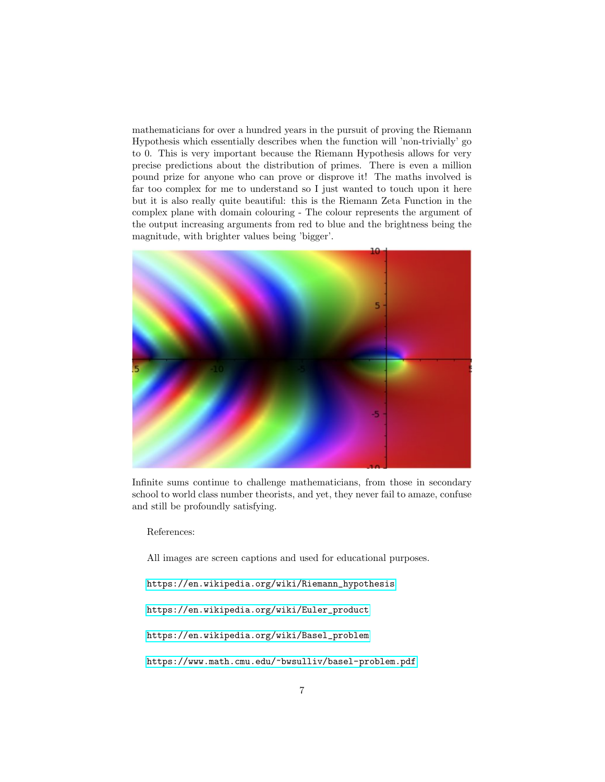mathematicians for over a hundred years in the pursuit of proving the Riemann Hypothesis which essentially describes when the function will 'non-trivially' go to 0. This is very important because the Riemann Hypothesis allows for very precise predictions about the distribution of primes. There is even a million pound prize for anyone who can prove or disprove it! The maths involved is far too complex for me to understand so I just wanted to touch upon it here but it is also really quite beautiful: this is the Riemann Zeta Function in the complex plane with domain colouring - The colour represents the argument of the output increasing arguments from red to blue and the brightness being the magnitude, with brighter values being 'bigger'.



Infinite sums continue to challenge mathematicians, from those in secondary school to world class number theorists, and yet, they never fail to amaze, confuse and still be profoundly satisfying.

References:

All images are screen captions and used for educational purposes.

[https://en.wikipedia.org/wiki/Riemann\\_hypothesis](https://en.wikipedia.org/wiki/Riemann_hypothesis)

[https://en.wikipedia.org/wiki/Euler\\_product](https://en.wikipedia.org/wiki/Euler_product)

[https://en.wikipedia.org/wiki/Basel\\_problem](https://en.wikipedia.org/wiki/Basel_problem)

<https://www.math.cmu.edu/~bwsulliv/basel-problem.pdf>